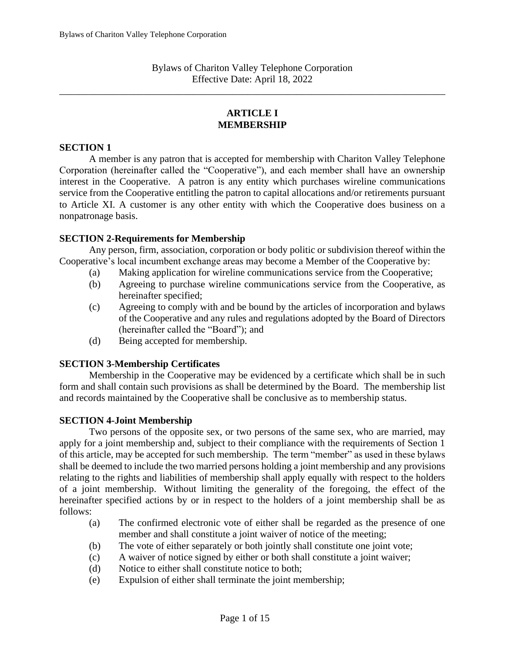Bylaws of Chariton Valley Telephone Corporation Effective Date: April 18, 2022

\_\_\_\_\_\_\_\_\_\_\_\_\_\_\_\_\_\_\_\_\_\_\_\_\_\_\_\_\_\_\_\_\_\_\_\_\_\_\_\_\_\_\_\_\_\_\_\_\_\_\_\_\_\_\_\_\_\_\_\_\_\_\_\_\_\_\_\_\_\_\_\_\_\_\_\_\_\_

## **ARTICLE I MEMBERSHIP**

### **SECTION 1**

A member is any patron that is accepted for membership with Chariton Valley Telephone Corporation (hereinafter called the "Cooperative"), and each member shall have an ownership interest in the Cooperative. A patron is any entity which purchases wireline communications service from the Cooperative entitling the patron to capital allocations and/or retirements pursuant to Article XI. A customer is any other entity with which the Cooperative does business on a nonpatronage basis.

### **SECTION 2-Requirements for Membership**

Any person, firm, association, corporation or body politic or subdivision thereof within the Cooperative's local incumbent exchange areas may become a Member of the Cooperative by:

- (a) Making application for wireline communications service from the Cooperative;
- (b) Agreeing to purchase wireline communications service from the Cooperative, as hereinafter specified;
- (c) Agreeing to comply with and be bound by the articles of incorporation and bylaws of the Cooperative and any rules and regulations adopted by the Board of Directors (hereinafter called the "Board"); and
- (d) Being accepted for membership.

#### **SECTION 3-Membership Certificates**

Membership in the Cooperative may be evidenced by a certificate which shall be in such form and shall contain such provisions as shall be determined by the Board. The membership list and records maintained by the Cooperative shall be conclusive as to membership status.

#### **SECTION 4-Joint Membership**

 Two persons of the opposite sex, or two persons of the same sex, who are married, may apply for a joint membership and, subject to their compliance with the requirements of Section 1 of this article, may be accepted for such membership. The term "member" as used in these bylaws shall be deemed to include the two married persons holding a joint membership and any provisions relating to the rights and liabilities of membership shall apply equally with respect to the holders of a joint membership. Without limiting the generality of the foregoing, the effect of the hereinafter specified actions by or in respect to the holders of a joint membership shall be as follows:

- (a) The confirmed electronic vote of either shall be regarded as the presence of one member and shall constitute a joint waiver of notice of the meeting;
- (b) The vote of either separately or both jointly shall constitute one joint vote;
- (c) A waiver of notice signed by either or both shall constitute a joint waiver;
- (d) Notice to either shall constitute notice to both;
- (e) Expulsion of either shall terminate the joint membership;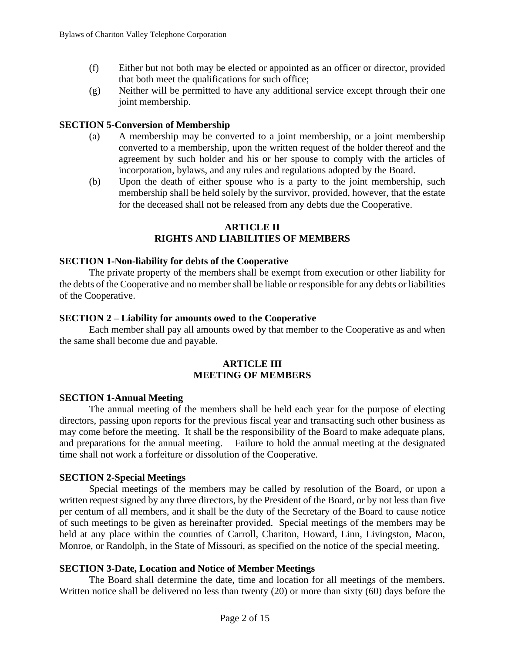- (f) Either but not both may be elected or appointed as an officer or director, provided that both meet the qualifications for such office;
- (g) Neither will be permitted to have any additional service except through their one joint membership.

### **SECTION 5-Conversion of Membership**

- (a) A membership may be converted to a joint membership, or a joint membership converted to a membership, upon the written request of the holder thereof and the agreement by such holder and his or her spouse to comply with the articles of incorporation, bylaws, and any rules and regulations adopted by the Board.
- (b) Upon the death of either spouse who is a party to the joint membership, such membership shall be held solely by the survivor, provided, however, that the estate for the deceased shall not be released from any debts due the Cooperative.

### **ARTICLE II RIGHTS AND LIABILITIES OF MEMBERS**

#### **SECTION 1-Non-liability for debts of the Cooperative**

The private property of the members shall be exempt from execution or other liability for the debts of the Cooperative and no member shall be liable or responsible for any debts or liabilities of the Cooperative.

#### **SECTION 2 – Liability for amounts owed to the Cooperative**

Each member shall pay all amounts owed by that member to the Cooperative as and when the same shall become due and payable.

#### **ARTICLE III MEETING OF MEMBERS**

#### **SECTION 1-Annual Meeting**

The annual meeting of the members shall be held each year for the purpose of electing directors, passing upon reports for the previous fiscal year and transacting such other business as may come before the meeting. It shall be the responsibility of the Board to make adequate plans, and preparations for the annual meeting. Failure to hold the annual meeting at the designated time shall not work a forfeiture or dissolution of the Cooperative.

### **SECTION 2-Special Meetings**

Special meetings of the members may be called by resolution of the Board, or upon a written request signed by any three directors, by the President of the Board, or by not less than five per centum of all members, and it shall be the duty of the Secretary of the Board to cause notice of such meetings to be given as hereinafter provided. Special meetings of the members may be held at any place within the counties of Carroll, Chariton, Howard, Linn, Livingston, Macon, Monroe, or Randolph, in the State of Missouri, as specified on the notice of the special meeting.

### **SECTION 3-Date, Location and Notice of Member Meetings**

The Board shall determine the date, time and location for all meetings of the members. Written notice shall be delivered no less than twenty (20) or more than sixty (60) days before the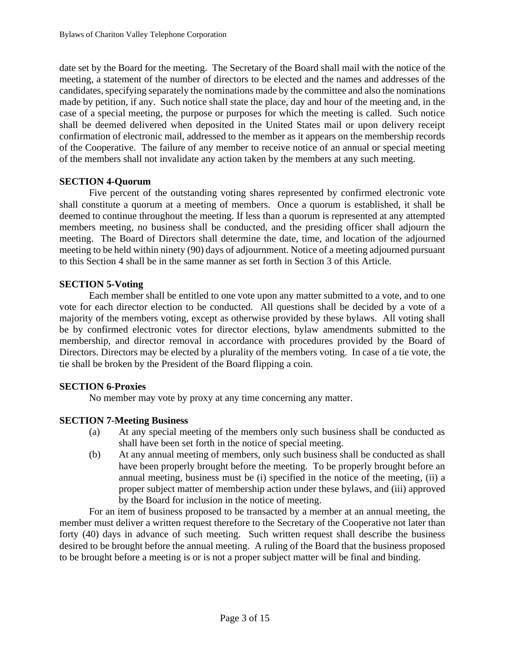date set by the Board for the meeting. The Secretary of the Board shall mail with the notice of the meeting, a statement of the number of directors to be elected and the names and addresses of the candidates, specifying separately the nominations made by the committee and also the nominations made by petition, if any.Such notice shall state the place, day and hour of the meeting and, in the case of a special meeting, the purpose or purposes for which the meeting is called. Such notice shall be deemed delivered when deposited in the United States mail or upon delivery receipt confirmation of electronic mail, addressed to the member as it appears on the membership records of the Cooperative. The failure of any member to receive notice of an annual or special meeting of the members shall not invalidate any action taken by the members at any such meeting.

# **SECTION 4-Quorum**

Five percent of the outstanding voting shares represented by confirmed electronic vote shall constitute a quorum at a meeting of members. Once a quorum is established, it shall be deemed to continue throughout the meeting. If less than a quorum is represented at any attempted members meeting, no business shall be conducted, and the presiding officer shall adjourn the meeting. The Board of Directors shall determine the date, time, and location of the adjourned meeting to be held within ninety (90) days of adjournment. Notice of a meeting adjourned pursuant to this Section 4 shall be in the same manner as set forth in Section 3 of this Article.

## **SECTION 5-Voting**

Each member shall be entitled to one vote upon any matter submitted to a vote, and to one vote for each director election to be conducted. All questions shall be decided by a vote of a majority of the members voting, except as otherwise provided by these bylaws. All voting shall be by confirmed electronic votes for director elections, bylaw amendments submitted to the membership, and director removal in accordance with procedures provided by the Board of Directors. Directors may be elected by a plurality of the members voting. In case of a tie vote, the tie shall be broken by the President of the Board flipping a coin.

### **SECTION 6-Proxies**

No member may vote by proxy at any time concerning any matter.

# **SECTION 7-Meeting Business**

- (a) At any special meeting of the members only such business shall be conducted as shall have been set forth in the notice of special meeting.
- (b) At any annual meeting of members, only such business shall be conducted as shall have been properly brought before the meeting. To be properly brought before an annual meeting, business must be (i) specified in the notice of the meeting, (ii) a proper subject matter of membership action under these bylaws, and (iii) approved by the Board for inclusion in the notice of meeting.

For an item of business proposed to be transacted by a member at an annual meeting, the member must deliver a written request therefore to the Secretary of the Cooperative not later than forty (40) days in advance of such meeting. Such written request shall describe the business desired to be brought before the annual meeting. A ruling of the Board that the business proposed to be brought before a meeting is or is not a proper subject matter will be final and binding.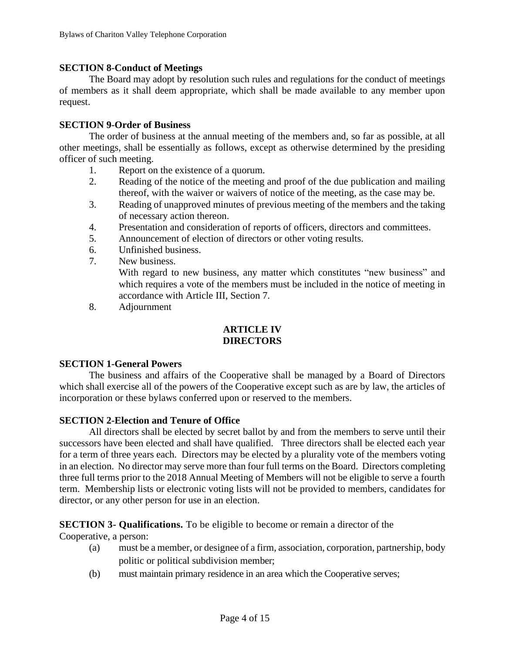## **SECTION 8-Conduct of Meetings**

The Board may adopt by resolution such rules and regulations for the conduct of meetings of members as it shall deem appropriate, which shall be made available to any member upon request.

### **SECTION 9-Order of Business**

The order of business at the annual meeting of the members and, so far as possible, at all other meetings, shall be essentially as follows, except as otherwise determined by the presiding officer of such meeting.

- 1. Report on the existence of a quorum.
- 2. Reading of the notice of the meeting and proof of the due publication and mailing thereof, with the waiver or waivers of notice of the meeting, as the case may be.
- 3. Reading of unapproved minutes of previous meeting of the members and the taking of necessary action thereon.
- 4. Presentation and consideration of reports of officers, directors and committees.
- 5. Announcement of election of directors or other voting results.
- 6. Unfinished business.
- 7. New business. With regard to new business, any matter which constitutes "new business" and which requires a vote of the members must be included in the notice of meeting in accordance with Article III, Section 7.
- 8. Adjournment

# **ARTICLE IV DIRECTORS**

### **SECTION 1-General Powers**

The business and affairs of the Cooperative shall be managed by a Board of Directors which shall exercise all of the powers of the Cooperative except such as are by law, the articles of incorporation or these bylaws conferred upon or reserved to the members.

### **SECTION 2-Election and Tenure of Office**

All directors shall be elected by secret ballot by and from the members to serve until their successors have been elected and shall have qualified. Three directors shall be elected each year for a term of three years each. Directors may be elected by a plurality vote of the members voting in an election. No director may serve more than four full terms on the Board. Directors completing three full terms prior to the 2018 Annual Meeting of Members will not be eligible to serve a fourth term. Membership lists or electronic voting lists will not be provided to members, candidates for director, or any other person for use in an election.

# **SECTION 3- Qualifications.** To be eligible to become or remain a director of the

Cooperative, a person:

- (a) must be a member, or designee of a firm, association, corporation, partnership, body politic or political subdivision member;
- (b) must maintain primary residence in an area which the Cooperative serves;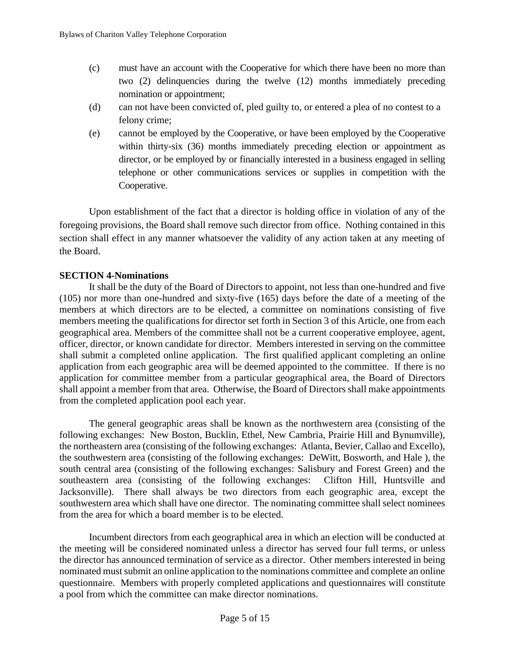- (c) must have an account with the Cooperative for which there have been no more than two (2) delinquencies during the twelve (12) months immediately preceding nomination or appointment;
- (d) can not have been convicted of, pled guilty to, or entered a plea of no contest to a felony crime;
- (e) cannot be employed by the Cooperative, or have been employed by the Cooperative within thirty-six (36) months immediately preceding election or appointment as director, or be employed by or financially interested in a business engaged in selling telephone or other communications services or supplies in competition with the Cooperative.

Upon establishment of the fact that a director is holding office in violation of any of the foregoing provisions, the Board shall remove such director from office. Nothing contained in this section shall effect in any manner whatsoever the validity of any action taken at any meeting of the Board.

# **SECTION 4-Nominations**

It shall be the duty of the Board of Directors to appoint, not less than one-hundred and five (105) nor more than one-hundred and sixty-five (165) days before the date of a meeting of the members at which directors are to be elected, a committee on nominations consisting of five members meeting the qualifications for director set forth in Section 3 of this Article, one from each geographical area. Members of the committee shall not be a current cooperative employee, agent, officer, director, or known candidate for director. Members interested in serving on the committee shall submit a completed online application. The first qualified applicant completing an online application from each geographic area will be deemed appointed to the committee. If there is no application for committee member from a particular geographical area, the Board of Directors shall appoint a member from that area. Otherwise, the Board of Directors shall make appointments from the completed application pool each year.

The general geographic areas shall be known as the northwestern area (consisting of the following exchanges: New Boston, Bucklin, Ethel, New Cambria, Prairie Hill and Bynumville), the northeastern area (consisting of the following exchanges: Atlanta, Bevier, Callao and Excello), the southwestern area (consisting of the following exchanges: DeWitt, Bosworth, and Hale ), the south central area (consisting of the following exchanges: Salisbury and Forest Green) and the southeastern area (consisting of the following exchanges: Clifton Hill, Huntsville and Jacksonville). There shall always be two directors from each geographic area, except the southwestern area which shall have one director. The nominating committee shall select nominees from the area for which a board member is to be elected.

Incumbent directors from each geographical area in which an election will be conducted at the meeting will be considered nominated unless a director has served four full terms, or unless the director has announced termination of service as a director. Other members interested in being nominated must submit an online application to the nominations committee and complete an online questionnaire. Members with properly completed applications and questionnaires will constitute a pool from which the committee can make director nominations.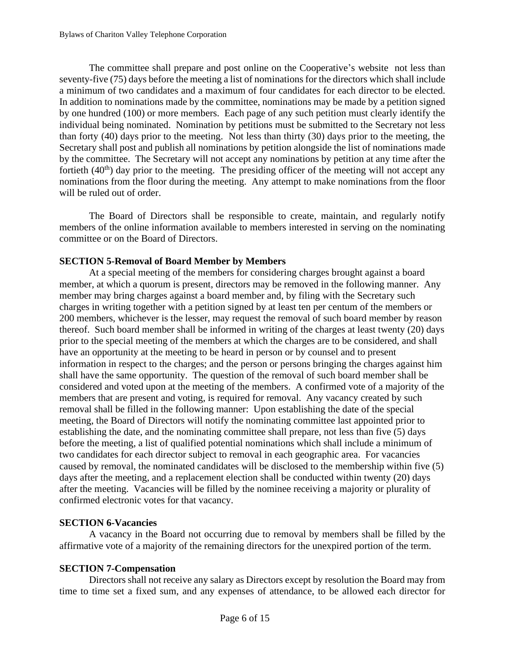The committee shall prepare and post online on the Cooperative's website not less than seventy-five (75) days before the meeting a list of nominations for the directors which shall include a minimum of two candidates and a maximum of four candidates for each director to be elected. In addition to nominations made by the committee, nominations may be made by a petition signed by one hundred (100) or more members. Each page of any such petition must clearly identify the individual being nominated. Nomination by petitions must be submitted to the Secretary not less than forty (40) days prior to the meeting. Not less than thirty (30) days prior to the meeting, the Secretary shall post and publish all nominations by petition alongside the list of nominations made by the committee. The Secretary will not accept any nominations by petition at any time after the fortieth  $(40<sup>th</sup>)$  day prior to the meeting. The presiding officer of the meeting will not accept any nominations from the floor during the meeting. Any attempt to make nominations from the floor will be ruled out of order.

The Board of Directors shall be responsible to create, maintain, and regularly notify members of the online information available to members interested in serving on the nominating committee or on the Board of Directors.

# **SECTION 5-Removal of Board Member by Members**

At a special meeting of the members for considering charges brought against a board member, at which a quorum is present, directors may be removed in the following manner. Any member may bring charges against a board member and, by filing with the Secretary such charges in writing together with a petition signed by at least ten per centum of the members or 200 members, whichever is the lesser, may request the removal of such board member by reason thereof. Such board member shall be informed in writing of the charges at least twenty (20) days prior to the special meeting of the members at which the charges are to be considered, and shall have an opportunity at the meeting to be heard in person or by counsel and to present information in respect to the charges; and the person or persons bringing the charges against him shall have the same opportunity. The question of the removal of such board member shall be considered and voted upon at the meeting of the members. A confirmed vote of a majority of the members that are present and voting, is required for removal. Any vacancy created by such removal shall be filled in the following manner: Upon establishing the date of the special meeting, the Board of Directors will notify the nominating committee last appointed prior to establishing the date, and the nominating committee shall prepare, not less than five (5) days before the meeting, a list of qualified potential nominations which shall include a minimum of two candidates for each director subject to removal in each geographic area. For vacancies caused by removal, the nominated candidates will be disclosed to the membership within five (5) days after the meeting, and a replacement election shall be conducted within twenty (20) days after the meeting. Vacancies will be filled by the nominee receiving a majority or plurality of confirmed electronic votes for that vacancy.

# **SECTION 6-Vacancies**

A vacancy in the Board not occurring due to removal by members shall be filled by the affirmative vote of a majority of the remaining directors for the unexpired portion of the term.

# **SECTION 7-Compensation**

Directors shall not receive any salary as Directors except by resolution the Board may from time to time set a fixed sum, and any expenses of attendance, to be allowed each director for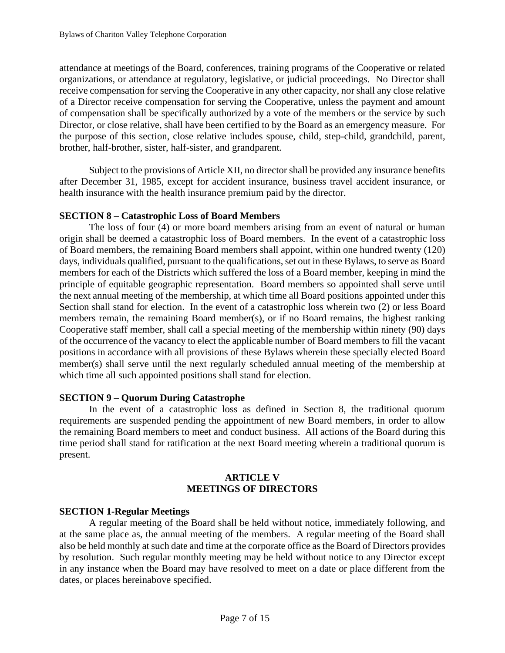attendance at meetings of the Board, conferences, training programs of the Cooperative or related organizations, or attendance at regulatory, legislative, or judicial proceedings. No Director shall receive compensation for serving the Cooperative in any other capacity, nor shall any close relative of a Director receive compensation for serving the Cooperative, unless the payment and amount of compensation shall be specifically authorized by a vote of the members or the service by such Director, or close relative, shall have been certified to by the Board as an emergency measure. For the purpose of this section, close relative includes spouse, child, step-child, grandchild, parent, brother, half-brother, sister, half-sister, and grandparent.

Subject to the provisions of Article XII, no director shall be provided any insurance benefits after December 31, 1985, except for accident insurance, business travel accident insurance, or health insurance with the health insurance premium paid by the director.

## **SECTION 8 – Catastrophic Loss of Board Members**

The loss of four (4) or more board members arising from an event of natural or human origin shall be deemed a catastrophic loss of Board members. In the event of a catastrophic loss of Board members, the remaining Board members shall appoint, within one hundred twenty (120) days, individuals qualified, pursuant to the qualifications, set out in these Bylaws, to serve as Board members for each of the Districts which suffered the loss of a Board member, keeping in mind the principle of equitable geographic representation. Board members so appointed shall serve until the next annual meeting of the membership, at which time all Board positions appointed under this Section shall stand for election. In the event of a catastrophic loss wherein two (2) or less Board members remain, the remaining Board member(s), or if no Board remains, the highest ranking Cooperative staff member, shall call a special meeting of the membership within ninety (90) days of the occurrence of the vacancy to elect the applicable number of Board members to fill the vacant positions in accordance with all provisions of these Bylaws wherein these specially elected Board member(s) shall serve until the next regularly scheduled annual meeting of the membership at which time all such appointed positions shall stand for election.

### **SECTION 9 – Quorum During Catastrophe**

In the event of a catastrophic loss as defined in Section 8, the traditional quorum requirements are suspended pending the appointment of new Board members, in order to allow the remaining Board members to meet and conduct business. All actions of the Board during this time period shall stand for ratification at the next Board meeting wherein a traditional quorum is present.

## **ARTICLE V MEETINGS OF DIRECTORS**

### **SECTION 1-Regular Meetings**

A regular meeting of the Board shall be held without notice, immediately following, and at the same place as, the annual meeting of the members. A regular meeting of the Board shall also be held monthly at such date and time at the corporate office as the Board of Directors provides by resolution. Such regular monthly meeting may be held without notice to any Director except in any instance when the Board may have resolved to meet on a date or place different from the dates, or places hereinabove specified.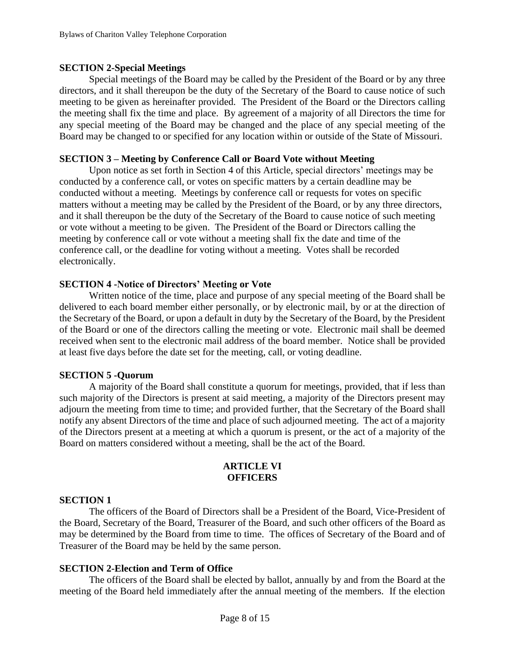### **SECTION 2-Special Meetings**

Special meetings of the Board may be called by the President of the Board or by any three directors, and it shall thereupon be the duty of the Secretary of the Board to cause notice of such meeting to be given as hereinafter provided. The President of the Board or the Directors calling the meeting shall fix the time and place. By agreement of a majority of all Directors the time for any special meeting of the Board may be changed and the place of any special meeting of the Board may be changed to or specified for any location within or outside of the State of Missouri.

## **SECTION 3 – Meeting by Conference Call or Board Vote without Meeting**

Upon notice as set forth in Section 4 of this Article, special directors' meetings may be conducted by a conference call, or votes on specific matters by a certain deadline may be conducted without a meeting. Meetings by conference call or requests for votes on specific matters without a meeting may be called by the President of the Board, or by any three directors, and it shall thereupon be the duty of the Secretary of the Board to cause notice of such meeting or vote without a meeting to be given. The President of the Board or Directors calling the meeting by conference call or vote without a meeting shall fix the date and time of the conference call, or the deadline for voting without a meeting. Votes shall be recorded electronically.

### **SECTION 4 -Notice of Directors' Meeting or Vote**

Written notice of the time, place and purpose of any special meeting of the Board shall be delivered to each board member either personally, or by electronic mail, by or at the direction of the Secretary of the Board, or upon a default in duty by the Secretary of the Board, by the President of the Board or one of the directors calling the meeting or vote. Electronic mail shall be deemed received when sent to the electronic mail address of the board member. Notice shall be provided at least five days before the date set for the meeting, call, or voting deadline.

### **SECTION 5 -Quorum**

A majority of the Board shall constitute a quorum for meetings, provided, that if less than such majority of the Directors is present at said meeting, a majority of the Directors present may adjourn the meeting from time to time; and provided further, that the Secretary of the Board shall notify any absent Directors of the time and place of such adjourned meeting. The act of a majority of the Directors present at a meeting at which a quorum is present, or the act of a majority of the Board on matters considered without a meeting, shall be the act of the Board.

#### **ARTICLE VI OFFICERS**

#### **SECTION 1**

The officers of the Board of Directors shall be a President of the Board, Vice-President of the Board, Secretary of the Board, Treasurer of the Board, and such other officers of the Board as may be determined by the Board from time to time. The offices of Secretary of the Board and of Treasurer of the Board may be held by the same person.

### **SECTION 2-Election and Term of Office**

The officers of the Board shall be elected by ballot, annually by and from the Board at the meeting of the Board held immediately after the annual meeting of the members. If the election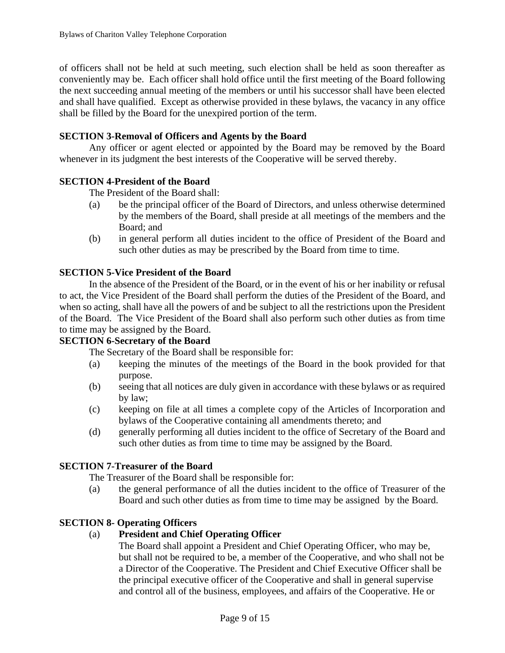of officers shall not be held at such meeting, such election shall be held as soon thereafter as conveniently may be. Each officer shall hold office until the first meeting of the Board following the next succeeding annual meeting of the members or until his successor shall have been elected and shall have qualified. Except as otherwise provided in these bylaws, the vacancy in any office shall be filled by the Board for the unexpired portion of the term.

# **SECTION 3-Removal of Officers and Agents by the Board**

Any officer or agent elected or appointed by the Board may be removed by the Board whenever in its judgment the best interests of the Cooperative will be served thereby.

## **SECTION 4-President of the Board**

The President of the Board shall:

- (a) be the principal officer of the Board of Directors, and unless otherwise determined by the members of the Board, shall preside at all meetings of the members and the Board; and
- (b) in general perform all duties incident to the office of President of the Board and such other duties as may be prescribed by the Board from time to time.

## **SECTION 5-Vice President of the Board**

In the absence of the President of the Board, or in the event of his or her inability or refusal to act, the Vice President of the Board shall perform the duties of the President of the Board, and when so acting, shall have all the powers of and be subject to all the restrictions upon the President of the Board. The Vice President of the Board shall also perform such other duties as from time to time may be assigned by the Board.

### **SECTION 6-Secretary of the Board**

The Secretary of the Board shall be responsible for:

- (a) keeping the minutes of the meetings of the Board in the book provided for that purpose.
- (b) seeing that all notices are duly given in accordance with these bylaws or as required by law;
- (c) keeping on file at all times a complete copy of the Articles of Incorporation and bylaws of the Cooperative containing all amendments thereto; and
- (d) generally performing all duties incident to the office of Secretary of the Board and such other duties as from time to time may be assigned by the Board.

### **SECTION 7-Treasurer of the Board**

The Treasurer of the Board shall be responsible for:

(a) the general performance of all the duties incident to the office of Treasurer of the Board and such other duties as from time to time may be assigned by the Board.

### **SECTION 8- Operating Officers**

# (a) **President and Chief Operating Officer**

The Board shall appoint a President and Chief Operating Officer, who may be, but shall not be required to be, a member of the Cooperative, and who shall not be a Director of the Cooperative. The President and Chief Executive Officer shall be the principal executive officer of the Cooperative and shall in general supervise and control all of the business, employees, and affairs of the Cooperative. He or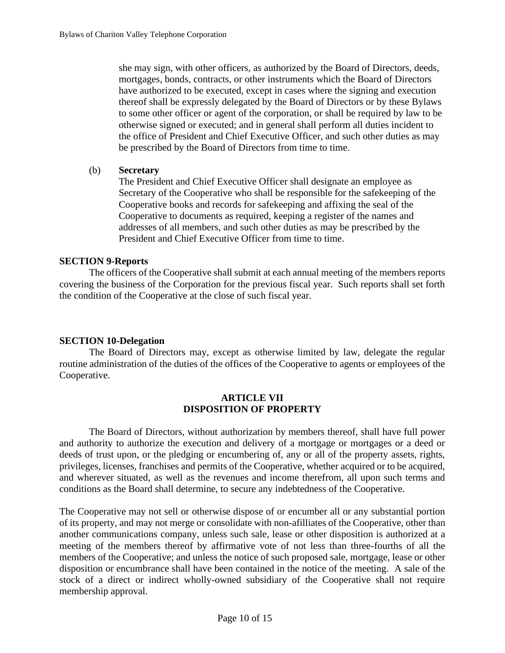she may sign, with other officers, as authorized by the Board of Directors, deeds, mortgages, bonds, contracts, or other instruments which the Board of Directors have authorized to be executed, except in cases where the signing and execution thereof shall be expressly delegated by the Board of Directors or by these Bylaws to some other officer or agent of the corporation, or shall be required by law to be otherwise signed or executed; and in general shall perform all duties incident to the office of President and Chief Executive Officer, and such other duties as may be prescribed by the Board of Directors from time to time.

## (b) **Secretary**

The President and Chief Executive Officer shall designate an employee as Secretary of the Cooperative who shall be responsible for the safekeeping of the Cooperative books and records for safekeeping and affixing the seal of the Cooperative to documents as required, keeping a register of the names and addresses of all members, and such other duties as may be prescribed by the President and Chief Executive Officer from time to time.

## **SECTION 9-Reports**

The officers of the Cooperative shall submit at each annual meeting of the members reports covering the business of the Corporation for the previous fiscal year. Such reports shall set forth the condition of the Cooperative at the close of such fiscal year.

# **SECTION 10-Delegation**

The Board of Directors may, except as otherwise limited by law, delegate the regular routine administration of the duties of the offices of the Cooperative to agents or employees of the Cooperative.

### **ARTICLE VII DISPOSITION OF PROPERTY**

The Board of Directors, without authorization by members thereof, shall have full power and authority to authorize the execution and delivery of a mortgage or mortgages or a deed or deeds of trust upon, or the pledging or encumbering of, any or all of the property assets, rights, privileges, licenses, franchises and permits of the Cooperative, whether acquired or to be acquired, and wherever situated, as well as the revenues and income therefrom, all upon such terms and conditions as the Board shall determine, to secure any indebtedness of the Cooperative.

The Cooperative may not sell or otherwise dispose of or encumber all or any substantial portion of its property, and may not merge or consolidate with non-afilliates of the Cooperative, other than another communications company, unless such sale, lease or other disposition is authorized at a meeting of the members thereof by affirmative vote of not less than three-fourths of all the members of the Cooperative; and unless the notice of such proposed sale, mortgage, lease or other disposition or encumbrance shall have been contained in the notice of the meeting. A sale of the stock of a direct or indirect wholly-owned subsidiary of the Cooperative shall not require membership approval.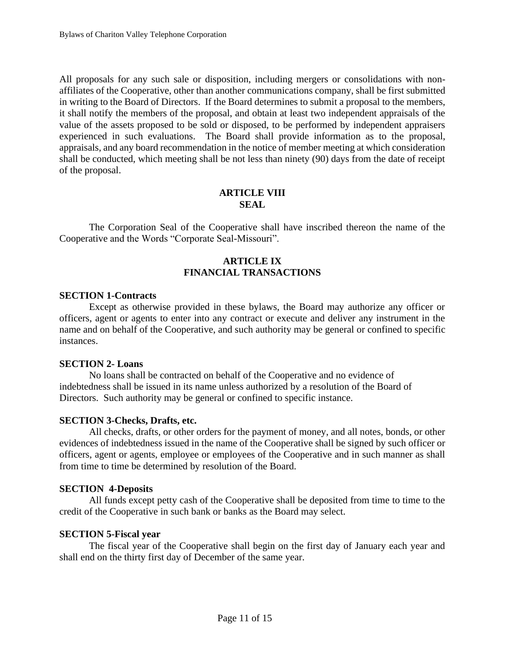All proposals for any such sale or disposition, including mergers or consolidations with nonaffiliates of the Cooperative, other than another communications company, shall be first submitted in writing to the Board of Directors. If the Board determines to submit a proposal to the members, it shall notify the members of the proposal, and obtain at least two independent appraisals of the value of the assets proposed to be sold or disposed, to be performed by independent appraisers experienced in such evaluations. The Board shall provide information as to the proposal, appraisals, and any board recommendation in the notice of member meeting at which consideration shall be conducted, which meeting shall be not less than ninety (90) days from the date of receipt of the proposal.

#### **ARTICLE VIII SEAL**

The Corporation Seal of the Cooperative shall have inscribed thereon the name of the Cooperative and the Words "Corporate Seal-Missouri".

# **ARTICLE IX FINANCIAL TRANSACTIONS**

### **SECTION 1-Contracts**

Except as otherwise provided in these bylaws, the Board may authorize any officer or officers, agent or agents to enter into any contract or execute and deliver any instrument in the name and on behalf of the Cooperative, and such authority may be general or confined to specific instances.

### **SECTION 2- Loans**

No loans shall be contracted on behalf of the Cooperative and no evidence of indebtedness shall be issued in its name unless authorized by a resolution of the Board of Directors. Such authority may be general or confined to specific instance.

### **SECTION 3-Checks, Drafts, etc.**

All checks, drafts, or other orders for the payment of money, and all notes, bonds, or other evidences of indebtedness issued in the name of the Cooperative shall be signed by such officer or officers, agent or agents, employee or employees of the Cooperative and in such manner as shall from time to time be determined by resolution of the Board.

### **SECTION 4-Deposits**

All funds except petty cash of the Cooperative shall be deposited from time to time to the credit of the Cooperative in such bank or banks as the Board may select.

#### **SECTION 5-Fiscal year**

The fiscal year of the Cooperative shall begin on the first day of January each year and shall end on the thirty first day of December of the same year.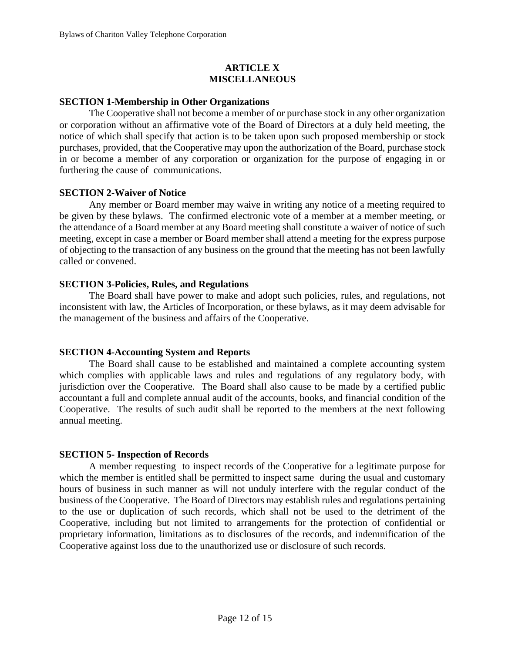# **ARTICLE X MISCELLANEOUS**

### **SECTION 1-Membership in Other Organizations**

The Cooperative shall not become a member of or purchase stock in any other organization or corporation without an affirmative vote of the Board of Directors at a duly held meeting, the notice of which shall specify that action is to be taken upon such proposed membership or stock purchases, provided, that the Cooperative may upon the authorization of the Board, purchase stock in or become a member of any corporation or organization for the purpose of engaging in or furthering the cause of communications.

### **SECTION 2-Waiver of Notice**

Any member or Board member may waive in writing any notice of a meeting required to be given by these bylaws. The confirmed electronic vote of a member at a member meeting, or the attendance of a Board member at any Board meeting shall constitute a waiver of notice of such meeting, except in case a member or Board member shall attend a meeting for the express purpose of objecting to the transaction of any business on the ground that the meeting has not been lawfully called or convened.

## **SECTION 3-Policies, Rules, and Regulations**

The Board shall have power to make and adopt such policies, rules, and regulations, not inconsistent with law, the Articles of Incorporation, or these bylaws, as it may deem advisable for the management of the business and affairs of the Cooperative.

### **SECTION 4-Accounting System and Reports**

The Board shall cause to be established and maintained a complete accounting system which complies with applicable laws and rules and regulations of any regulatory body, with jurisdiction over the Cooperative. The Board shall also cause to be made by a certified public accountant a full and complete annual audit of the accounts, books, and financial condition of the Cooperative. The results of such audit shall be reported to the members at the next following annual meeting.

### **SECTION 5- Inspection of Records**

A member requesting to inspect records of the Cooperative for a legitimate purpose for which the member is entitled shall be permitted to inspect same during the usual and customary hours of business in such manner as will not unduly interfere with the regular conduct of the business of the Cooperative. The Board of Directors may establish rules and regulations pertaining to the use or duplication of such records, which shall not be used to the detriment of the Cooperative, including but not limited to arrangements for the protection of confidential or proprietary information, limitations as to disclosures of the records, and indemnification of the Cooperative against loss due to the unauthorized use or disclosure of such records.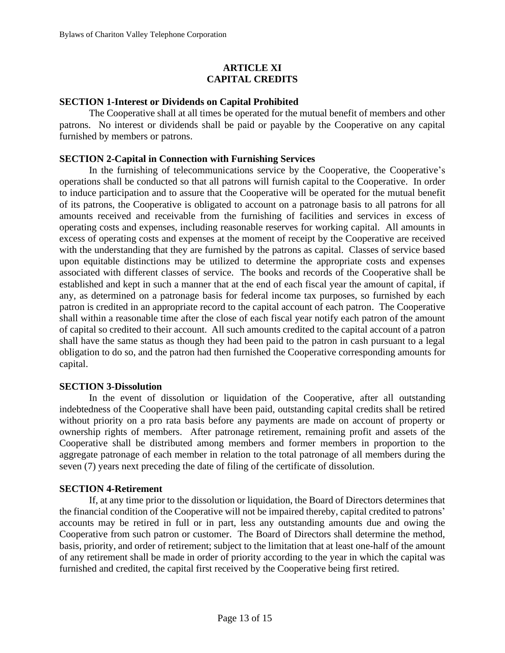# **ARTICLE XI CAPITAL CREDITS**

### **SECTION 1-Interest or Dividends on Capital Prohibited**

The Cooperative shall at all times be operated for the mutual benefit of members and other patrons. No interest or dividends shall be paid or payable by the Cooperative on any capital furnished by members or patrons.

## **SECTION 2-Capital in Connection with Furnishing Services**

In the furnishing of telecommunications service by the Cooperative, the Cooperative's operations shall be conducted so that all patrons will furnish capital to the Cooperative. In order to induce participation and to assure that the Cooperative will be operated for the mutual benefit of its patrons, the Cooperative is obligated to account on a patronage basis to all patrons for all amounts received and receivable from the furnishing of facilities and services in excess of operating costs and expenses, including reasonable reserves for working capital. All amounts in excess of operating costs and expenses at the moment of receipt by the Cooperative are received with the understanding that they are furnished by the patrons as capital. Classes of service based upon equitable distinctions may be utilized to determine the appropriate costs and expenses associated with different classes of service. The books and records of the Cooperative shall be established and kept in such a manner that at the end of each fiscal year the amount of capital, if any, as determined on a patronage basis for federal income tax purposes, so furnished by each patron is credited in an appropriate record to the capital account of each patron. The Cooperative shall within a reasonable time after the close of each fiscal year notify each patron of the amount of capital so credited to their account. All such amounts credited to the capital account of a patron shall have the same status as though they had been paid to the patron in cash pursuant to a legal obligation to do so, and the patron had then furnished the Cooperative corresponding amounts for capital.

### **SECTION 3-Dissolution**

In the event of dissolution or liquidation of the Cooperative, after all outstanding indebtedness of the Cooperative shall have been paid, outstanding capital credits shall be retired without priority on a pro rata basis before any payments are made on account of property or ownership rights of members. After patronage retirement, remaining profit and assets of the Cooperative shall be distributed among members and former members in proportion to the aggregate patronage of each member in relation to the total patronage of all members during the seven (7) years next preceding the date of filing of the certificate of dissolution.

### **SECTION 4-Retirement**

If, at any time prior to the dissolution or liquidation, the Board of Directors determines that the financial condition of the Cooperative will not be impaired thereby, capital credited to patrons' accounts may be retired in full or in part, less any outstanding amounts due and owing the Cooperative from such patron or customer. The Board of Directors shall determine the method, basis, priority, and order of retirement; subject to the limitation that at least one-half of the amount of any retirement shall be made in order of priority according to the year in which the capital was furnished and credited, the capital first received by the Cooperative being first retired.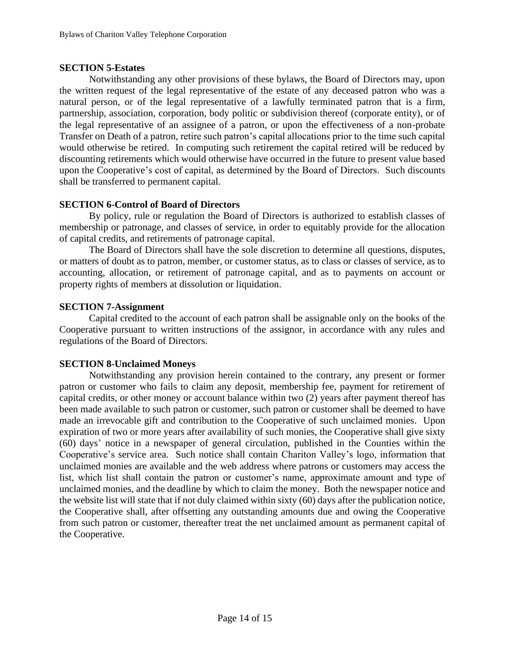## **SECTION 5-Estates**

Notwithstanding any other provisions of these bylaws, the Board of Directors may, upon the written request of the legal representative of the estate of any deceased patron who was a natural person, or of the legal representative of a lawfully terminated patron that is a firm, partnership, association, corporation, body politic or subdivision thereof (corporate entity), or of the legal representative of an assignee of a patron, or upon the effectiveness of a non-probate Transfer on Death of a patron, retire such patron's capital allocations prior to the time such capital would otherwise be retired. In computing such retirement the capital retired will be reduced by discounting retirements which would otherwise have occurred in the future to present value based upon the Cooperative's cost of capital, as determined by the Board of Directors. Such discounts shall be transferred to permanent capital.

### **SECTION 6-Control of Board of Directors**

By policy, rule or regulation the Board of Directors is authorized to establish classes of membership or patronage, and classes of service, in order to equitably provide for the allocation of capital credits, and retirements of patronage capital.

The Board of Directors shall have the sole discretion to determine all questions, disputes, or matters of doubt as to patron, member, or customer status, as to class or classes of service, as to accounting, allocation, or retirement of patronage capital, and as to payments on account or property rights of members at dissolution or liquidation.

## **SECTION 7-Assignment**

Capital credited to the account of each patron shall be assignable only on the books of the Cooperative pursuant to written instructions of the assignor, in accordance with any rules and regulations of the Board of Directors.

### **SECTION 8-Unclaimed Moneys**

Notwithstanding any provision herein contained to the contrary, any present or former patron or customer who fails to claim any deposit, membership fee, payment for retirement of capital credits, or other money or account balance within two (2) years after payment thereof has been made available to such patron or customer, such patron or customer shall be deemed to have made an irrevocable gift and contribution to the Cooperative of such unclaimed monies. Upon expiration of two or more years after availability of such monies, the Cooperative shall give sixty (60) days' notice in a newspaper of general circulation, published in the Counties within the Cooperative's service area. Such notice shall contain Chariton Valley's logo, information that unclaimed monies are available and the web address where patrons or customers may access the list, which list shall contain the patron or customer's name, approximate amount and type of unclaimed monies, and the deadline by which to claim the money. Both the newspaper notice and the website list will state that if not duly claimed within sixty (60) days after the publication notice, the Cooperative shall, after offsetting any outstanding amounts due and owing the Cooperative from such patron or customer, thereafter treat the net unclaimed amount as permanent capital of the Cooperative.